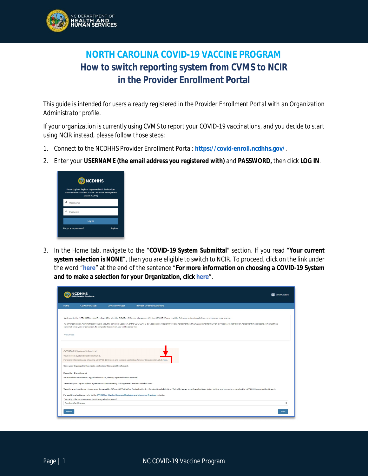

## **NORTH CAROLINA COVID-19 VACCINE PROGRAM How to switch reporting system from CVMS to NCIR in the Provider Enrollment Portal**

*This guide is intended for users already registered in the Provider Enrollment Portal with an Organization Administrator profile.*

*If your organization is currently using CVMS to report your COVID-19 vaccinations, and you decide to start using NCIR instead, please follow those steps:*

- 1. Connect to the NCDHHS Provider Enrollment Portal: **https://covid-enroll.ncdhhs.gov/**.
- 2. Enter your **USERNAME (the email address you registered with)** and **PASSWORD,** then click **LOG IN**.

|   | <b>ON NCDHHS</b><br>Please Login or Register to proceed with the Provider<br>Enrollment Portal in the COVID-19 Vaccine Management<br>System (CVMS) |          |
|---|----------------------------------------------------------------------------------------------------------------------------------------------------|----------|
|   | Username                                                                                                                                           |          |
| a | Password                                                                                                                                           |          |
|   | Log in                                                                                                                                             |          |
|   | Forgot your password?                                                                                                                              | Register |

3. In the Home tab, navigate to the "**COVID-19 System Submittal**" section. If you read "**Your current system selection is NONE**", then you are eligible to switch to NCIR. To proceed, click on the link under the word "**here**" at the end of the sentence "**For more information on choosing a COVID-19 System and to make a selection for your Organization, click here**".

|                                                                                                                                                                                                                                                                                                                      |                                                                      |                                                                                               |                                                                                                                                                                                                                             | Simon Coudere |  |
|----------------------------------------------------------------------------------------------------------------------------------------------------------------------------------------------------------------------------------------------------------------------------------------------------------------------|----------------------------------------------------------------------|-----------------------------------------------------------------------------------------------|-----------------------------------------------------------------------------------------------------------------------------------------------------------------------------------------------------------------------------|---------------|--|
| Home                                                                                                                                                                                                                                                                                                                 | <b>CEO Review/Sign</b>                                               | <b>CMO Review/Sign</b>                                                                        | <b>Provider Enrollment Locations</b>                                                                                                                                                                                        |               |  |
|                                                                                                                                                                                                                                                                                                                      |                                                                      |                                                                                               |                                                                                                                                                                                                                             |               |  |
|                                                                                                                                                                                                                                                                                                                      |                                                                      |                                                                                               | Welcome to the NCDHHS Provider Enrollment Portal in the COVID-19 Vaccine Management System (CVMS). Please read the following instructions before enrolling your organization.                                               |               |  |
| As an Organization Administrator, you are about to complete Section A of the CDC COVID-19 Vaccination Program Provider Agreement and CDC Supplemental COVID-19 Vaccine Redistribution Agreement (if applicable), which gathers<br>information on your organization. To complete this section, you will be asked for: |                                                                      |                                                                                               |                                                                                                                                                                                                                             |               |  |
| View More                                                                                                                                                                                                                                                                                                            |                                                                      |                                                                                               |                                                                                                                                                                                                                             |               |  |
|                                                                                                                                                                                                                                                                                                                      |                                                                      |                                                                                               |                                                                                                                                                                                                                             |               |  |
|                                                                                                                                                                                                                                                                                                                      | COVID-19 System Submittal                                            |                                                                                               |                                                                                                                                                                                                                             |               |  |
| Your current System Selection is NONE.                                                                                                                                                                                                                                                                               |                                                                      |                                                                                               |                                                                                                                                                                                                                             |               |  |
| For more information on choosing a COVID-19 System and to make a selection for your Organization, click here.                                                                                                                                                                                                        |                                                                      |                                                                                               |                                                                                                                                                                                                                             |               |  |
|                                                                                                                                                                                                                                                                                                                      | Once your Organization has made a selection, this cannot be changed. |                                                                                               |                                                                                                                                                                                                                             |               |  |
| <b>Provider Enrollment</b>                                                                                                                                                                                                                                                                                           |                                                                      |                                                                                               |                                                                                                                                                                                                                             |               |  |
|                                                                                                                                                                                                                                                                                                                      |                                                                      | Your Provider Enrollment Organization: TEST_Simon_Organization is Approved.                   |                                                                                                                                                                                                                             |               |  |
|                                                                                                                                                                                                                                                                                                                      |                                                                      | To review your Organization's agreement without making a change select Review and click Next. |                                                                                                                                                                                                                             |               |  |
|                                                                                                                                                                                                                                                                                                                      |                                                                      |                                                                                               | To add a new Location or change your Responsible Officers (CEO/CMO or Equivalent) select Resubmit and click Next. This will change your Organization's status to New and prompt a review by the NCDHHS Immunization Branch. |               |  |
|                                                                                                                                                                                                                                                                                                                      |                                                                      |                                                                                               | For additional guidance refer to the CVMS User Guides, Recorded Trainings and Upcoming Trainings website.                                                                                                                   |               |  |
|                                                                                                                                                                                                                                                                                                                      | * Would you like to review or resubmit the organization record?      |                                                                                               |                                                                                                                                                                                                                             |               |  |
| Resubmit for Changes                                                                                                                                                                                                                                                                                                 |                                                                      |                                                                                               |                                                                                                                                                                                                                             | ۰<br>٠        |  |
| Pause                                                                                                                                                                                                                                                                                                                |                                                                      |                                                                                               |                                                                                                                                                                                                                             | Next          |  |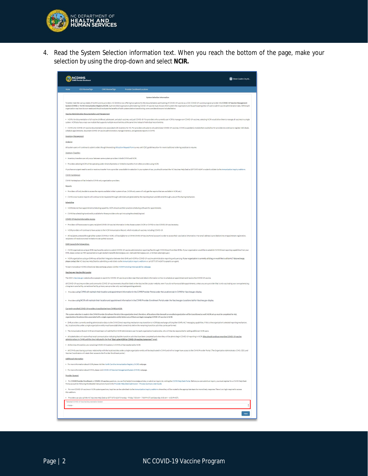

4. Read the System Selection information text. When you reach the bottom of the page, make your selection by using the drop-down and select **NCIR.**

| <b>NCDHHS</b>                                                                                                                                                                                                                                                                                                                                                                                                                                                                                                                                                                                                          | Simon Couderc Org Ad |
|------------------------------------------------------------------------------------------------------------------------------------------------------------------------------------------------------------------------------------------------------------------------------------------------------------------------------------------------------------------------------------------------------------------------------------------------------------------------------------------------------------------------------------------------------------------------------------------------------------------------|----------------------|
| <b>CEO</b> Review/Sign<br>CMO Review/Sign<br><b>Provider Enrollment Locations</b><br>Home                                                                                                                                                                                                                                                                                                                                                                                                                                                                                                                              |                      |
| System Selection Information                                                                                                                                                                                                                                                                                                                                                                                                                                                                                                                                                                                           |                      |
| To better meet the various needs of North Carolina providers, NC DHHS is now offering two options for the documentation and tracking of COVID-19 vaccine as a CDC COVID-19 vaccine program provider: the COVID-19 Vaccine Mana<br>System (CVMS) or the NC Immunization Resistry (NCIR). Each enrolled organization administering COVID-19 vaccine must choose which system the organization and its participating sites will use to submit vaccine administratio<br>organization may have its own needs and should evaluate the benefits of both systems before transitioning, some considerations are included below: |                      |
| Vaccine Administration Documentation and Management<br>. NCIR is for documentation of all routine childhood, adolescent, and adult vaccines, not just COVID-19. For providers who currently use NCIR to manage non-COVID-19 vaccines, selecting NCIR would allow them to manage all v                                                                                                                                                                                                                                                                                                                                  |                      |
| system. NCIR also has a mass vax module that supports multiple record entries at the same time instead of individual record entries.                                                                                                                                                                                                                                                                                                                                                                                                                                                                                   |                      |
| . CVMS is for COVID-19 vaccine documentation only associated with inventory for NC. For providers who plan to only administer COVID-19 vaccines, CVMS is a pandemic module that would allow for providers to continue to regis<br>schedule appointments, document COVID-19 vaccine administration, manage inventory, and generate reports in CVMS.                                                                                                                                                                                                                                                                     |                      |
| <b>Inventory Management</b>                                                                                                                                                                                                                                                                                                                                                                                                                                                                                                                                                                                            |                      |
| Ordering                                                                                                                                                                                                                                                                                                                                                                                                                                                                                                                                                                                                               |                      |
| All system users will continue to submit orders though the existing Allocation Request Form survey until CDC guidelines allow for more traditional ordering practices to resume                                                                                                                                                                                                                                                                                                                                                                                                                                        |                      |
| <b>Inventory Transfers</b><br>. Inventory transfers can only occur between same-system providers in both CVMS and NCIR.                                                                                                                                                                                                                                                                                                                                                                                                                                                                                                |                      |
| . Providers selecting NCIR will be operating under direct shipments or limited to transfers from other providers using NCIR.                                                                                                                                                                                                                                                                                                                                                                                                                                                                                           |                      |
| If you have an urgent need to send or receive a transfer from a provider unavailable for selection in your system of use, you should contact the NC Vaccines Help Desk at (877) 873-6247 or submit a ticket via the Immunizati                                                                                                                                                                                                                                                                                                                                                                                         |                      |
| CVMS Marketplace                                                                                                                                                                                                                                                                                                                                                                                                                                                                                                                                                                                                       |                      |
| CVMS Marketplace will be limited to CVMS-only organization providers.                                                                                                                                                                                                                                                                                                                                                                                                                                                                                                                                                  |                      |
| Reports                                                                                                                                                                                                                                                                                                                                                                                                                                                                                                                                                                                                                |                      |
| . Providers will only be able to access the reports available in their system of use. (NCIR-only users will only get the reports that are available in NCIR, etc.)                                                                                                                                                                                                                                                                                                                                                                                                                                                     |                      |
| . CVMS cross-location reports will continue to be requested through web ticket and generated by the reporting team and delivered through a secure file sharing mechanism.<br>Scheduling                                                                                                                                                                                                                                                                                                                                                                                                                                |                      |
| . NCIR does not have appointment scheduling capability. HCPs should use their practice scheduling software for appointments.                                                                                                                                                                                                                                                                                                                                                                                                                                                                                           |                      |
| . CVMS has scheduling functionality available for those providers who opt in to using the scheduling tool.                                                                                                                                                                                                                                                                                                                                                                                                                                                                                                             |                      |
| COVID-19 Vaccine Information Access                                                                                                                                                                                                                                                                                                                                                                                                                                                                                                                                                                                    |                      |
| Providers will have access to query recipient COVID-19 vaccine information in the chosen system (NCIR or CVMS) to view COVID-19 vaccine status.                                                                                                                                                                                                                                                                                                                                                                                                                                                                        |                      |
| . NCIR providers will continue to have access to the NCIR Immunization Record, which includes all vaccines, including COVID-19.                                                                                                                                                                                                                                                                                                                                                                                                                                                                                        |                      |
| . All recipients, entered through either system (CVMS or NCIR), will be eligible for a CVMS COVID-19 Vaccine Portal account in order to access their vaccination information, If an email address is provided at time of appoi<br>recipients will receive an email invitation to set up their account.                                                                                                                                                                                                                                                                                                                 |                      |
| <b>EHR Connectivity/Integrations</b>                                                                                                                                                                                                                                                                                                                                                                                                                                                                                                                                                                                   |                      |
| · CVMS organizations using an EHR may have the option to submit COVID-19 vaccine administration reporting files through CVMS Direct from their EHRs. If your organization would like to establish CVMS Direct reporting capabi<br>EHR, please contact an HIE representative to get started (meredith.dennen@sas.com, mehwash.fatima@sas.com, or brittani.adams@nc.gov).                                                                                                                                                                                                                                                |                      |
| . NCIR organizations using an EHR may utilize their integration between their EHR and NCIR for COVID-19 vaccine administration reporting and querying. If your organization is currently utilizing, or would like to utilize H<br>please contact the NC Vaccines Help Desk by submitting a web ticket via the Immunization Inquiry webform or call (877) 873-6247 to speak to an agent.                                                                                                                                                                                                                                |                      |
| To learn more about NCIR bi-directional data exchange, please visit the NCIR Promoting Interoperability webpage.                                                                                                                                                                                                                                                                                                                                                                                                                                                                                                       |                      |
| Vaccines aov Vaccine Site Locator                                                                                                                                                                                                                                                                                                                                                                                                                                                                                                                                                                                      |                      |
| The CDC's Vaccines.gov website allows people to search for COVID-19 vaccine providers near them and obtain information on how to schedule an appointment and receive the COVID 19 vaccine.                                                                                                                                                                                                                                                                                                                                                                                                                             |                      |
| All COVID-19 vaccine providers and community COVID 19 vaccine events should be listed on the Vaccine Site Locator website, even if you do not have available appointments, unless you are a provider that is only vaccinating<br>a long-term care facility, correctional facility, primary care provider only vaccinating existing patients).                                                                                                                                                                                                                                                                          |                      |
| . Providers using CVMS will maintain their location and appointment information in the CVMS Provider Portal under the Locations tab in CVMS for Vaccines.gov display.                                                                                                                                                                                                                                                                                                                                                                                                                                                  |                      |
| + Providers using NCIR will maintain their location and appointment information in the CVMS Provider Enrollment Portal under the Vaccines.gov Locations tab for Vaccines.gov display.                                                                                                                                                                                                                                                                                                                                                                                                                                  |                      |
| Currently enrolled COVID-19 providers transitioning from CVMS to NCIR;                                                                                                                                                                                                                                                                                                                                                                                                                                                                                                                                                 |                      |
| The system selection is made in the CVMS Provider Enrollment Portal at the organization level, therefore, all locations/sites beneath an enrolled organization will be transitioned as well. NCIR set up must be completed for                                                                                                                                                                                                                                                                                                                                                                                         |                      |
| organizations/locations/sites associated with a single organization entity before any of them can begin managing COVID-19 vaccine in NCIR.<br>. EHR providers currently sending administration data via the CVMS Direct reporting mechanism may transition to NCIR data exchange utilizing their EHR's HL7 messaging capabilities. If this is the organization's selected re<br>ALL locations/sites under a single organization entity must have established connectivity before the remaining transition activities can be performed.                                                                                 |                      |
| The Immunization Branch NCIR enrollment team will add the first NCIR Administrator user for each organization/location/site, who will then be responsible for adding additional NCIR users.                                                                                                                                                                                                                                                                                                                                                                                                                            |                      |
| . All stakeholders will receive final email communication indicating that the transition activities have been completed and when they will be able to begin COVID-19 reporting in NCIR. Sites should continue reporting COVID-<br>administrations in CVMS until the time indicated in the final "Start using NCIR for COVID-19 vaccines tomorrow!" email.                                                                                                                                                                                                                                                              |                      |
| . At the time of transition, any remaining COVID-19 inventory in CVMS will be transferred to NCIR                                                                                                                                                                                                                                                                                                                                                                                                                                                                                                                      |                      |
| . All CVMS users having a primary relationship with the locations/sites under a single organization entity will be deactivated in CVMS and will no longer have access to the CVMS Provider Portal. (The Organization Administr<br>Vaccine Coordinators will retain their access to the Provider Enrollment portal I.                                                                                                                                                                                                                                                                                                   |                      |
| Additional Information                                                                                                                                                                                                                                                                                                                                                                                                                                                                                                                                                                                                 |                      |
| . For more information about NCIR please visit the North Carolina Immunization Registry (NCIR) webpage.                                                                                                                                                                                                                                                                                                                                                                                                                                                                                                                |                      |
| . For more information about CVMS, please visit COVID-19 Vaccine Management System (CVMS) webpage.                                                                                                                                                                                                                                                                                                                                                                                                                                                                                                                     |                      |
| Provider Support                                                                                                                                                                                                                                                                                                                                                                                                                                                                                                                                                                                                       |                      |
| . For CVMS Provider Enrollment or COVID-19 vaccine questions, you can find helptul knowledge articles or submit an inquiry by visiting the CVMS Help Desk Portal. Before you can submit an inquiry, you must register for a CV<br>Portal account by following the detailed instructions found in the Provider Help Desk Submission - Process Summary User Guide.                                                                                                                                                                                                                                                       |                      |
| . For non-COVID-19 vaccine or NCIR system questions, inquiries can be submitted via the Immunization Inquiry webform where they will be routed to the appropriate team for more timely response. There is no login required to<br>this webform                                                                                                                                                                                                                                                                                                                                                                         |                      |
| . Providers can also call the NC Vaccines Help Desk at (877) 873-6247 (Monday - Friday 7:00 AM - 7:00 PM ET and Saturday 8:00 AM - 4:00 PM ET].                                                                                                                                                                                                                                                                                                                                                                                                                                                                        |                      |
| Selected COVID-19 Vaccine Documentation System<br>-None-                                                                                                                                                                                                                                                                                                                                                                                                                                                                                                                                                               |                      |
|                                                                                                                                                                                                                                                                                                                                                                                                                                                                                                                                                                                                                        |                      |
|                                                                                                                                                                                                                                                                                                                                                                                                                                                                                                                                                                                                                        |                      |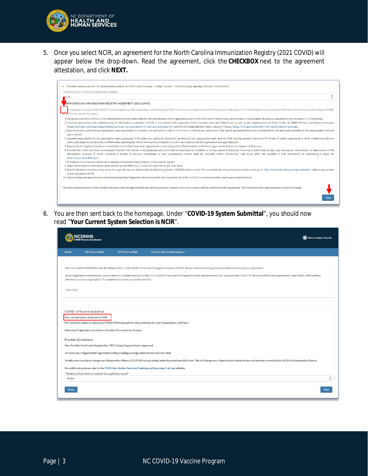

5. Once you select NCIR, an agreement for the North Carolina Immunization Registry (2021 COVID) will appear below the drop-down. Read the agreement, click the **CHECKBOX** next to the agreement attestation, and click **NEXT.**

| * Selected COVID-19 Vaccine Documentation System                                                                                                                                                                                                                                                                                                |                                                                                                                                                                                                                                                                                                                                                                                                                                                                                                                                                                                                                                                                                                                                                                                                                                                                                                                    |
|-------------------------------------------------------------------------------------------------------------------------------------------------------------------------------------------------------------------------------------------------------------------------------------------------------------------------------------------------|--------------------------------------------------------------------------------------------------------------------------------------------------------------------------------------------------------------------------------------------------------------------------------------------------------------------------------------------------------------------------------------------------------------------------------------------------------------------------------------------------------------------------------------------------------------------------------------------------------------------------------------------------------------------------------------------------------------------------------------------------------------------------------------------------------------------------------------------------------------------------------------------------------------------|
| NCIR <sub></sub>                                                                                                                                                                                                                                                                                                                                |                                                                                                                                                                                                                                                                                                                                                                                                                                                                                                                                                                                                                                                                                                                                                                                                                                                                                                                    |
| DRTH CAROLINA IMMUNIZATION REGISTRY AGREEMENT (2021 COVID)                                                                                                                                                                                                                                                                                      |                                                                                                                                                                                                                                                                                                                                                                                                                                                                                                                                                                                                                                                                                                                                                                                                                                                                                                                    |
| for COVID-19 vaccine information.                                                                                                                                                                                                                                                                                                               | understand that as part of this COVID-19 Vaccine Agreement, the organization and participating COVID-19 vaccination locations as part of this organization shall comply with the following terms related to use of the North C                                                                                                                                                                                                                                                                                                                                                                                                                                                                                                                                                                                                                                                                                     |
| upon request.                                                                                                                                                                                                                                                                                                                                   | 1. Designate a minimum of two NCIR Administrators to be responsible for the maintenance of all organization users. This will ensure if the primary administrator is unavailable, the backup can perform the necessary NCIR fun<br>2. Maintain and protect the confidentiality of information contained in NCIR in accordance with applicable North Carolina state and federal law as well as the requirements set forth in the NC DHHS Privacy and Security Manu<br>(https://policies.ncdhhs.gov/departmental/policies-manuals/section-viii-privacy-and-security/) and the NC Statewide Information Security Manual (https://it.nc.gov/statewide-information-security-policies).<br>3. Require all new and existing organization users accessing NCIR under your authority to sign a NCIR User Confidentiality Agreement. The signed agreement should be maintained on site and made available to the Immunization |
| other individual, and protect the confidentiality and integrity of the information contained in NCIR in accordance with this agreement and applicable law.<br>5. Deactivate all organization users immediately should they leave your organization or are assigned to different duties within the organization that do not require NCIR access. | 4. Assume responsibility for all organization users accessing NCIR under your authority. Ensure all current and new organization staff receive NCIR training, agree to not share NCIR user ID and/or passwords or other creden<br>6. Provide the North Carolina Immunization Branch with notice of all suspected and confirmed privacy/security incidents or privacy/security breaches involving unauthorized access, use, disclosure, modification, or destruct<br>information retained in NCIR, including a breach of account credentials or user permissions. Notice shall be provided within twenty-four (24) hours after the incident is first discovered by submitting a report at:                                                                                                                                                                                                                          |
| https://security.ncdhhs.gov/.<br>7. Provide an immunization record, at no charge, to the patient each time an immunization is given.<br>8. Share immunization information upon request as specified in G.S. 130A-153 and 10A NCAC 41A .0406.                                                                                                    |                                                                                                                                                                                                                                                                                                                                                                                                                                                                                                                                                                                                                                                                                                                                                                                                                                                                                                                    |
| client comment in NCIR                                                                                                                                                                                                                                                                                                                          | 9. Report all adverse events as they occur through the Vaccine Adverse Events Reporting System (VAERS) electronically. For a complete list of required reportable events go to: http://www.vaers.hhs.gov/reportable.htm. Add a                                                                                                                                                                                                                                                                                                                                                                                                                                                                                                                                                                                                                                                                                     |
| 10. Acknowledge and agree that all medical treatment and diagnostic decisions are the sole responsibility of the COVID-19 vaccine providers and Supervising Physician.                                                                                                                                                                          |                                                                                                                                                                                                                                                                                                                                                                                                                                                                                                                                                                                                                                                                                                                                                                                                                                                                                                                    |
|                                                                                                                                                                                                                                                                                                                                                 | The Immunization Branch or the Provider may terminate this agreement at any time for personal reasons or failure to comply with all conditions of this agreement. The conditions of this agreement are subject to change.                                                                                                                                                                                                                                                                                                                                                                                                                                                                                                                                                                                                                                                                                          |

6. You are then sent back to the homepage. Under "**COVID-19 System Submittal**", you should now read "**Your Current System Selection is NCIR**".

|           |                                                                                                                                                                                                                                                                                                                      |                        | Simon Couderc Org Ad.                                                                                                                                                                                                       |                               |  |  |  |
|-----------|----------------------------------------------------------------------------------------------------------------------------------------------------------------------------------------------------------------------------------------------------------------------------------------------------------------------|------------------------|-----------------------------------------------------------------------------------------------------------------------------------------------------------------------------------------------------------------------------|-------------------------------|--|--|--|
| Home      | <b>CEO Review/Sign</b>                                                                                                                                                                                                                                                                                               | <b>CMO Review/Sign</b> | <b>Provider Enrollment Locations</b>                                                                                                                                                                                        |                               |  |  |  |
|           |                                                                                                                                                                                                                                                                                                                      |                        |                                                                                                                                                                                                                             |                               |  |  |  |
|           |                                                                                                                                                                                                                                                                                                                      |                        | Welcome to the NCDHHS Provider Enrollment Portal in the COVID-19 Vaccine Management System (CVMS). Please read the following instructions before enrolling your organization.                                               |                               |  |  |  |
|           | As an Organization Administrator, you are about to complete Section A of the CDC COVID-19 Vaccination Program Provider Agreement and CDC Supplemental COVID-19 Vaccine Redistribution Agreement (if applicable), which gathers<br>information on your organization. To complete this section, you will be asked for: |                        |                                                                                                                                                                                                                             |                               |  |  |  |
| View More |                                                                                                                                                                                                                                                                                                                      |                        |                                                                                                                                                                                                                             |                               |  |  |  |
|           |                                                                                                                                                                                                                                                                                                                      |                        |                                                                                                                                                                                                                             |                               |  |  |  |
|           | COVID-19 System Submittal<br>Your current System Selection is NCIR.<br>For more information on choosing a COVID-19 System and to make a selection for your Organization, click here.<br>Once your Organization has made a selection, this cannot be changed.                                                         |                        |                                                                                                                                                                                                                             |                               |  |  |  |
|           | <b>Provider Enrollment</b>                                                                                                                                                                                                                                                                                           |                        |                                                                                                                                                                                                                             |                               |  |  |  |
|           | Your Provider Enrollment Organization: TEST Simon Organization is Approved.                                                                                                                                                                                                                                          |                        |                                                                                                                                                                                                                             |                               |  |  |  |
|           | To review your Organization's agreement without making a change select Review and click Next.                                                                                                                                                                                                                        |                        |                                                                                                                                                                                                                             |                               |  |  |  |
|           |                                                                                                                                                                                                                                                                                                                      |                        | To add a new Location or change your Responsible Officers (CEO/CMO or Equivalent) select Resubmit and click Next. This will change your Organization's status to New and prompt a review by the NCDHHS Immunization Branch. |                               |  |  |  |
|           |                                                                                                                                                                                                                                                                                                                      |                        | For additional guidance refer to the CVMS User Guides, Recorded Trainings and Upcoming Trainings website.                                                                                                                   |                               |  |  |  |
|           | * Would you like to review or resubmit the organization record?                                                                                                                                                                                                                                                      |                        |                                                                                                                                                                                                                             |                               |  |  |  |
| Review    |                                                                                                                                                                                                                                                                                                                      |                        |                                                                                                                                                                                                                             | $\blacktriangle$<br>$\bullet$ |  |  |  |
| Pause     |                                                                                                                                                                                                                                                                                                                      |                        |                                                                                                                                                                                                                             | Next                          |  |  |  |